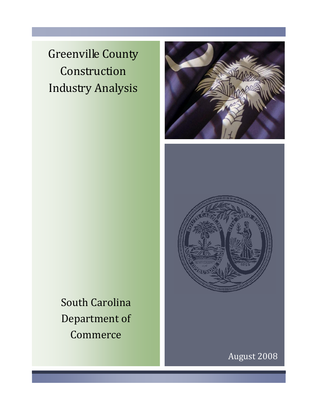Greenville County Construction Industry Analysis





South Carolina Department of Commerce

August 2008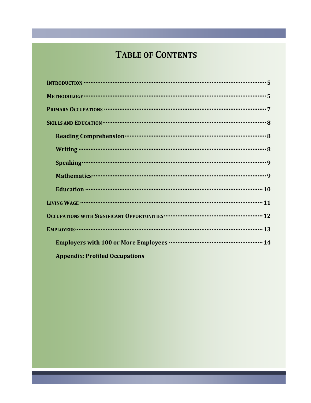# **TABLE OF CONTENTS**

| Reading Comprehension <b>contract to the Company of American</b> B |
|--------------------------------------------------------------------|
|                                                                    |
|                                                                    |
|                                                                    |
|                                                                    |
|                                                                    |
|                                                                    |
|                                                                    |
|                                                                    |
| Employers with 100 or More Employees ………………………………………………… 14        |
| <b>Appendix: Profiled Occupations</b>                              |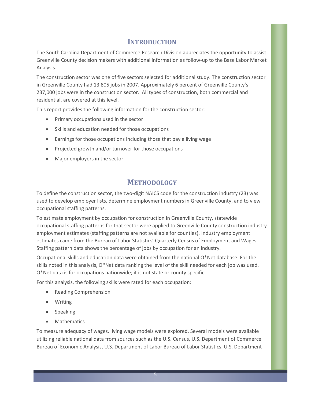#### **INTRODUCTION**

The South Carolina Department of Commerce Research Division appreciates the opportunity to assist Greenville County decision makers with additional information as follow-up to the Base Labor Market Analysis.

The construction sector was one of five sectors selected for additional study. The construction sector in Greenville County had 13,805 jobs in 2007. Approximately 6 percent of Greenville County's 237,000 jobs were in the construction sector. All types of construction, both commercial and residential, are covered at this level.

This report provides the following information for the construction sector:

- Primary occupations used in the sector
- Skills and education needed for those occupations
- Earnings for those occupations including those that pay a living wage
- Projected growth and/or turnover for those occupations
- Major employers in the sector

#### **METHODOLOGY**

To define the construction sector, the two-digit NAICS code for the construction industry (23) was used to develop employer lists, determine employment numbers in Greenville County, and to view occupational staffing patterns.

To estimate employment by occupation for construction in Greenville County, statewide occupational staffing patterns for that sector were applied to Greenville County construction industry employment estimates (staffing patterns are not available for counties). Industry employment estimates came from the Bureau of Labor Statistics' Quarterly Census of Employment and Wages. Staffing pattern data shows the percentage of jobs by occupation for an industry.

Occupational skills and education data were obtained from the national O\*Net database. For the skills noted in this analysis, O\*Net data ranking the level of the skill needed for each job was used. O\*Net data is for occupations nationwide; it is not state or county specific.

For this analysis, the following skills were rated for each occupation:

- Reading Comprehension
- Writing
- Speaking
- **•** Mathematics

To measure adequacy of wages, living wage models were explored. Several models were available utilizing reliable national data from sources such as the U.S. Census, U.S. Department of Commerce Bureau of Economic Analysis, U.S. Department of Labor Bureau of Labor Statistics, U.S. Department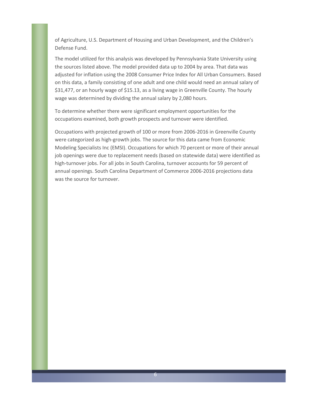of Agriculture, U.S. Department of Housing and Urban Development, and the Children's Defense Fund.

The model utilized for this analysis was developed by Pennsylvania State University using the sources listed above. The model provided data up to 2004 by area. That data was adjusted for inflation using the 2008 Consumer Price Index for All Urban Consumers. Based on this data, a family consisting of one adult and one child would need an annual salary of \$31,477, or an hourly wage of \$15.13, as a living wage in Greenville County. The hourly wage was determined by dividing the annual salary by 2,080 hours.

To determine whether there were significant employment opportunities for the occupations examined, both growth prospects and turnover were identified.

Occupations with projected growth of 100 or more from 2006-2016 in Greenville County were categorized as high-growth jobs. The source for this data came from Economic Modeling Specialists Inc (EMSI). Occupations for which 70 percent or more of their annual job openings were due to replacement needs (based on statewide data) were identified as high-turnover jobs. For all jobs in South Carolina, turnover accounts for 59 percent of annual openings. South Carolina Department of Commerce 2006-2016 projections data was the source for turnover.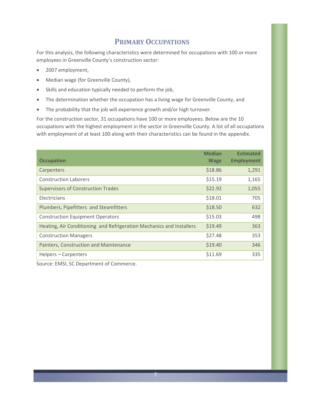#### **PRIMARY OCCUPATIONS**

For this analysis, the following characteristics were determined for occupations with 100 or more employees in Greenville County's construction sector:

- 2007 employment,
- Median wage (for Greenville County),
- Skills and education typically needed to perform the job,
- The determination whether the occupation has a living wage for Greenville County, and
- The probability that the job will experience growth and/or high turnover.

For the construction sector, 31 occupations have 100 or more employees. Below are the 10 occupations with the highest employment in the sector in Greenville County. A list of all occupations with employment of at least 100 along with their characteristics can be found in the appendix.

| <b>Occupation</b>                                                    | <b>Median</b><br><b>Wage</b> | <b>Estimated</b><br><b>Employment</b> |
|----------------------------------------------------------------------|------------------------------|---------------------------------------|
| Carpenters                                                           | \$18.86                      | 1,291                                 |
| <b>Construction Laborers</b>                                         | \$15.19                      | 1,165                                 |
| <b>Supervisors of Construction Trades</b>                            | \$22.92                      | 1,055                                 |
| Electricians                                                         | \$18.01                      | 705                                   |
| Plumbers, Pipefitters and Steamfitters                               | \$18.50                      | 632                                   |
| <b>Construction Equipment Operators</b>                              | \$15.03                      | 498                                   |
| Heating, Air Conditioning and Refrigeration Mechanics and Installers | \$19.49                      | 363                                   |
| <b>Construction Managers</b>                                         | \$27.48                      | 353                                   |
| Painters, Construction and Maintenance                               | \$19.40                      | 346                                   |
| Helpers – Carpenters                                                 | \$11.69                      | 335                                   |

Source: EMSI, SC Department of Commerce.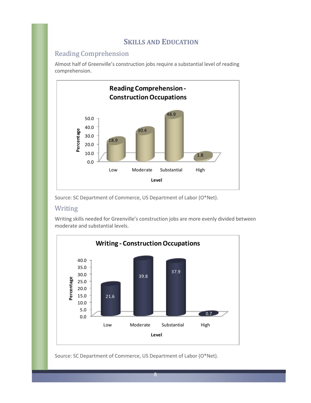#### **SKILLS AND EDUCATION**

#### Reading Comprehension

Almost half of Greenville's construction jobs require a substantial level of reading comprehension.



Source: SC Department of Commerce, US Department of Labor (O\*Net).

#### Writing

Writing skills needed for Greenville's construction jobs are more evenly divided between moderate and substantial levels.



Source: SC Department of Commerce, US Department of Labor (O\*Net).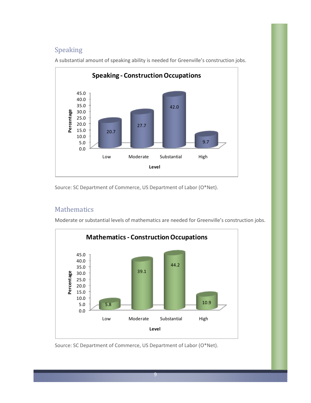#### Speaking



A substantial amount of speaking ability is needed for Greenville's construction jobs.

Source: SC Department of Commerce, US Department of Labor (O\*Net).

#### Mathematics

Moderate or substantial levels of mathematics are needed for Greenville's construction jobs.



Source: SC Department of Commerce, US Department of Labor (O\*Net).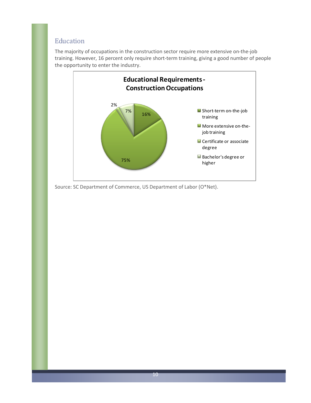#### Education

The majority of occupations in the construction sector require more extensive on-the-job training. However, 16 percent only require short-term training, giving a good number of people the opportunity to enter the industry.



Source: SC Department of Commerce, US Department of Labor (O\*Net).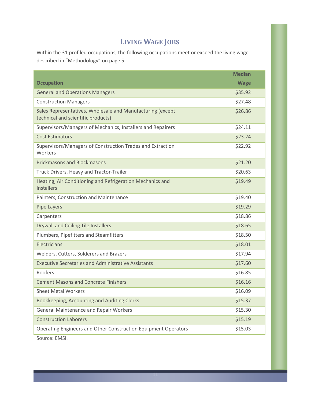### **LIVING WAGE JOBS**

Within the 31 profiled occupations, the following occupations meet or exceed the living wage described in "Methodology" on page 5.

|                                                                                                  | <b>Median</b> |
|--------------------------------------------------------------------------------------------------|---------------|
| <b>Occupation</b>                                                                                | <b>Wage</b>   |
| <b>General and Operations Managers</b>                                                           | \$35.92       |
| <b>Construction Managers</b>                                                                     | \$27.48       |
| Sales Representatives, Wholesale and Manufacturing (except<br>technical and scientific products) | \$26.86       |
| Supervisors/Managers of Mechanics, Installers and Repairers                                      | \$24.11       |
| <b>Cost Estimators</b>                                                                           | \$23.24       |
| Supervisors/Managers of Construction Trades and Extraction<br>Workers                            | \$22.92       |
| <b>Brickmasons and Blockmasons</b>                                                               | \$21.20       |
| Truck Drivers, Heavy and Tractor-Trailer                                                         | \$20.63       |
| Heating, Air Conditioning and Refrigeration Mechanics and<br><b>Installers</b>                   | \$19.49       |
| Painters, Construction and Maintenance                                                           | \$19.40       |
| Pipe Layers                                                                                      | \$19.29       |
| Carpenters                                                                                       | \$18.86       |
| <b>Drywall and Ceiling Tile Installers</b>                                                       | \$18.65       |
| Plumbers, Pipefitters and Steamfitters                                                           | \$18.50       |
| <b>Electricians</b>                                                                              | \$18.01       |
| Welders, Cutters, Solderers and Brazers                                                          | \$17.94       |
| <b>Executive Secretaries and Administrative Assistants</b>                                       | \$17.60       |
| Roofers                                                                                          | \$16.85       |
| <b>Cement Masons and Concrete Finishers</b>                                                      | \$16.16       |
| <b>Sheet Metal Workers</b>                                                                       | \$16.09       |
| Bookkeeping, Accounting and Auditing Clerks                                                      | \$15.37       |
| <b>General Maintenance and Repair Workers</b>                                                    | \$15.30       |
| <b>Construction Laborers</b>                                                                     | \$15.19       |
| Operating Engineers and Other Construction Equipment Operators                                   | \$15.03       |

Source: EMSI.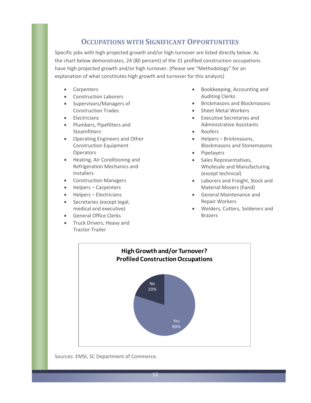#### **OCCUPATIONS WITH SIGNIFICANT OPPORTUNITIES**

Specific jobs with high projected growth and/or high turnover are listed directly below. As the chart below demonstrates, 24 (80 percent) of the 31 profiled construction occupations have high projected growth and/or high turnover. (Please see "Methodology" for an explanation of what constitutes high growth and turnover for this analysis)

- Carpenters
- Construction Laborers
- Supervisors/Managers of Construction Trades
- Electricians
- Plumbers, Pipefitters and Steamfitters
- Operating Engineers and Other Construction Equipment **Operators**
- Heating, Air Conditioning and Refrigeration Mechanics and Installers
- Construction Managers
- Helpers Carpenters
- Helpers Electricians
- Secretaries (except legal, medical and executive)
- General Office Clerks
- Truck Drivers, Heavy and Tractor-Trailer
- Bookkeeping, Accounting and Auditing Clerks
- Brickmasons and Blockmasons
- Sheet Metal Workers
- Executive Secretaries and Administrative Assistants
- Roofers
- Helpers Brickmasons, Blockmasons and Stonemasons
- Pipelayers
- Sales Representatives, Wholesale and Manufacturing (except technical)
- Laborers and Freight, Stock and Material Movers (hand)
- General Maintenance and Repair Workers
- Welders, Cutters, Solderers and Brazers



Sources: EMSI, SC Department of Commerce.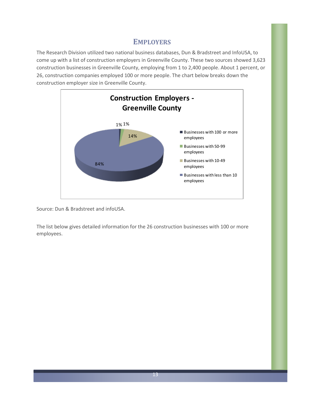#### **EMPLOYERS**

The Research Division utilized two national business databases, Dun & Bradstreet and InfoUSA, to come up with a list of construction employers in Greenville County. These two sources showed 3,623 construction businesses in Greenville County, employing from 1 to 2,400 people. About 1 percent, or 26, construction companies employed 100 or more people. The chart below breaks down the construction employer size in Greenville County.



Source: Dun & Bradstreet and infoUSA.

The list below gives detailed information for the 26 construction businesses with 100 or more employees.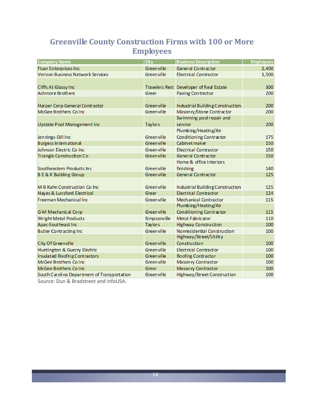### **Greenville County Construction Firms with 100 or More Employees**

| <b>Company Name</b>                         | <b>City</b>        | <b>Business Description</b>             | <b>Employees</b> |
|---------------------------------------------|--------------------|-----------------------------------------|------------------|
| <b>Fluor Enterprises Inc</b>                | <b>Green ville</b> | General Contractor                      | 2,400            |
| <b>Verizon Business Network Services</b>    | <b>Green ville</b> | <b>Electrical Contractor</b>            | 1,500            |
|                                             |                    |                                         |                  |
| Cliffs At Glassy Inc                        |                    | Travelers Rest Developer of Real Estate | 300              |
| <b>Ashmore Brothers</b>                     | Greer              | Paving Contractor                       | 200              |
|                                             |                    |                                         |                  |
| Harper Corp-General Contractor              | Green ville        | Industrial Building Construction        | 200              |
| McGee Brothers Co Inc                       | Green ville        | Mason ry/Stone Contractor               | 200              |
|                                             |                    | Swimming pool repair and                |                  |
| Upstate Pool Management Inc                 | <b>Taylors</b>     | service                                 | 200              |
|                                             |                    | Plumbing/Heating/Air                    |                  |
| Jennings-Dill Inc                           | <b>Green ville</b> | Conditioning Contractor                 | 175              |
| Burgess In tern ation al                    | <b>Green ville</b> | Cabin et maker                          | 150              |
| Johnson Electric Co Inc                     | <b>Green ville</b> | <b>Electrical Contractor</b>            | 150              |
| Triangle Construction Co                    | <b>Green ville</b> | General Contractor                      | 150              |
|                                             |                    | Home & office interiors                 |                  |
| Southeastern Products Inc                   | Green ville        | finishing                               | 140              |
| <b>B E &amp; K Building Group</b>           | <b>Green ville</b> | General Contractor                      | 125              |
|                                             |                    |                                         |                  |
| M B Kahn Construction Co Inc.               | <b>Green ville</b> | Industrial Building Construction        | 125              |
| Hayes & Lunsford Electrical                 | Greer              | <b>Electrical Contractor</b>            | 124              |
| Freeman Mechanical Inc                      | <b>Green ville</b> | <b>Mechanical Contractor</b>            | 115              |
|                                             |                    | Plumbing/Heating/Air                    |                  |
| G-M Mechanical Corp                         | <b>Green ville</b> | Conditioning Contractor                 | 115              |
| <b>Wright Metal Products</b>                | Simpsonville       | Metal Fabricator                        | 110              |
| Apac-Southeast Inc                          | <b>Taylors</b>     | Highway Construction                    | 100              |
| Butler Contracting Inc                      | <b>Green ville</b> | Nonresidential Construction             | 100              |
|                                             |                    | Highway/Street/Utility                  |                  |
| City Of Greenville                          | Green ville        | Construction                            | 100              |
| Huntington & Guerry Electric                | <b>Green ville</b> | <b>Electrical Contractor</b>            | 100              |
| Insulated Roofing Contractors               | <b>Green ville</b> | Roofing Contractor                      | 100              |
| McGee Brothers Co Inc                       | <b>Green ville</b> | Mason ry Contractor                     | 100              |
| McGee Brothers Co Inc                       | Greer              | Mason ry Contractor                     | 100              |
| South Carolina Department of Transportation | <b>Green ville</b> | Highway/Street Construction             | 100              |

Source: Dun & Bradstreet and infoUSA.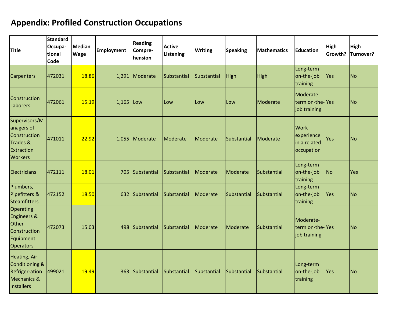## **Appendix: Profiled Construction Occupations**

| <b>Title</b>                                                                                         | <b>Standard</b><br>Occupa-<br>tional<br>Code | Median<br><b>Wage</b> | <b>Employment</b> | <b>Reading</b><br>Compre-<br>hension | <b>Active</b><br>Listening | <b>Writing</b>  | <b>Speaking</b> | <b>Mathematics</b> | <b>Education</b>                                 | High<br>Growth? | <b>High</b><br>Turnover? |
|------------------------------------------------------------------------------------------------------|----------------------------------------------|-----------------------|-------------------|--------------------------------------|----------------------------|-----------------|-----------------|--------------------|--------------------------------------------------|-----------------|--------------------------|
| <b>Carpenters</b>                                                                                    | 472031                                       | 18.86                 |                   | 1,291 Moderate                       | Substantial                | Substantial     | High            | High               | Long-term<br>on-the-job<br>training              | Yes             | N <sub>o</sub>           |
| Construction<br>Laborers                                                                             | 472061                                       | 15.19                 | 1,165             | Low                                  | Low                        | Low             | Low             | Moderate           | Moderate-<br>term on-the-Yes<br>job training     |                 | N <sub>o</sub>           |
| Supervisors/M<br>anagers of<br>Construction<br>Trades &<br>Extraction<br><b>Workers</b>              | 471011                                       | 22.92                 |                   | 1,055 Moderate                       | Moderate                   | Moderate        | Substantial     | Moderate           | Work<br>experience<br>in a related<br>occupation | Yes             | lNo.                     |
| Electricians                                                                                         | 472111                                       | 18.01                 | 705               | Substantial                          | Substantial                | Moderate        | Moderate        | Substantial        | Long-term<br>on-the-job<br>training              | No              | Yes                      |
| Plumbers,<br>Pipefitters &<br>Steamfitters                                                           | 472152                                       | 18.50                 | 632               | Substantial                          | Substantial                | Moderate        | Substantial     | <b>Substantial</b> | Long-term<br>on-the-job<br>training              | Yes             | N <sub>o</sub>           |
| Operating<br><b>Engineers &amp;</b><br><b>Other</b><br>Construction<br>Equipment<br><b>Operators</b> | 472073                                       | 15.03                 | 498               | Substantial                          | Substantial                | <b>Moderate</b> | Moderate        | Substantial        | Moderate-<br>term on-the-Yes<br>job training     |                 | N <sub>o</sub>           |
| <b>Heating, Air</b><br>Conditioning &<br><b>Refriger-ation</b><br>Mechanics &<br>Installers          | 499021                                       | 19.49                 | 363               | Substantial                          | Substantial                | Substantial     | Substantial     | Substantial        | Long-term<br>on-the-job<br>training              | Yes             | N <sub>o</sub>           |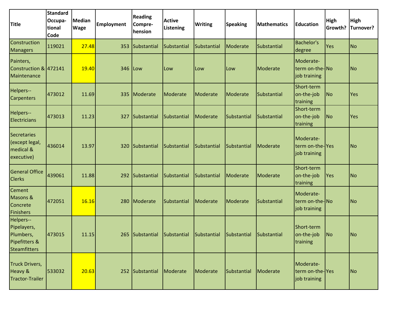| <b>Title</b>                                                           | <b>Standard</b><br>Occupa-<br>tional<br><b>Code</b> | <b>Median</b><br><b>Wage</b> | Employment | <b>Reading</b><br>Compre-<br>hension | <b>Active</b><br>Listening | <b>Writing</b>  | <b>Speaking</b> | <b>Mathematics</b> | <b>Education</b>                             | High<br>Growth? | <b>High</b><br>Turnover? |
|------------------------------------------------------------------------|-----------------------------------------------------|------------------------------|------------|--------------------------------------|----------------------------|-----------------|-----------------|--------------------|----------------------------------------------|-----------------|--------------------------|
| Construction<br><b>Managers</b>                                        | 119021                                              | 27.48                        | 353        | Substantial                          | Substantial                | Substantial     | Moderate        | Substantial        | <b>Bachelor's</b><br>degree                  | Yes             | <b>No</b>                |
| Painters,<br>Construction & 472141<br>Maintenance                      |                                                     | 19.40                        | 346        | Low                                  | Low                        | Low             | Low             | Moderate           | Moderate-<br>term on-the-No<br>job training  |                 | No                       |
| Helpers--<br><b>Carpenters</b>                                         | 473012                                              | 11.69                        | 335        | Moderate                             | Moderate                   | Moderate        | Moderate        | Substantial        | Short-term<br>on-the-job<br>training         | <b>No</b>       | Yes                      |
| Helpers--<br>Electricians                                              | 473013                                              | 11.23                        | 327        | Substantial                          | Substantial                | Moderate        | Substantial     | Substantial        | Short-term<br>on-the-job<br>training         | <b>No</b>       | Yes                      |
| Secretaries<br>(except legal,<br>medical &<br>executive)               | 436014                                              | 13.97                        | 320        | Substantial                          | Substantial                | Substantial     | Substantial     | Moderate           | Moderate-<br>term on-the-Yes<br>job training |                 | No                       |
| <b>General Office</b><br><b>Clerks</b>                                 | 439061                                              | 11.88                        | 292        | Substantial                          | Substantial                | Substantial     | Moderate        | Moderate           | Short-term<br>on-the-job<br>training         | Yes             | No                       |
| Cement<br>Masons &<br>Concrete<br>Finishers                            | 472051                                              | 16.16                        | 280        | Moderate                             | Substantial                | <b>Moderate</b> | Moderate        | Substantial        | Moderate-<br>term on-the-No<br>job training  |                 | No                       |
| Helpers--<br>Pipelayers,<br>Plumbers,<br>Pipefitters &<br>Steamfitters | 473015                                              | 11.15                        |            | 265 Substantial                      | Substantial                | Substantial     | Substantial     | Substantial        | Short-term<br>on-the-job<br>training         | No              | N <sub>o</sub>           |
| Truck Drivers,<br>Heavy &<br>Tractor-Trailer                           | 533032                                              | 20.63                        |            | 252 Substantial                      | Moderate                   | Moderate        | Substantial     | Moderate           | Moderate-<br>term on-the-Yes<br>job training |                 | $\overline{\text{No}}$   |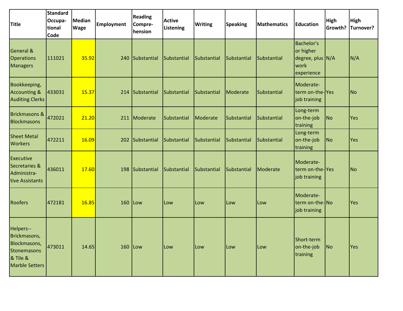| <b>Title</b>                                                                                  | <b>Standard</b><br>Occupa-<br>tional<br><b>Code</b> | <b>Median</b><br><b>Wage</b> | <b>Employment</b> | <b>Reading</b><br>Compre-<br>hension | <b>Active</b><br>Listening | <b>Writing</b> | <b>Speaking</b> | <b>Mathematics</b> | <b>Education</b>                                                         | High<br>Growth? | <b>High</b><br>Turnover? |
|-----------------------------------------------------------------------------------------------|-----------------------------------------------------|------------------------------|-------------------|--------------------------------------|----------------------------|----------------|-----------------|--------------------|--------------------------------------------------------------------------|-----------------|--------------------------|
| <b>General &amp;</b><br><b>Operations</b><br><b>Managers</b>                                  | 111021                                              | 35.92                        | 240               | Substantial                          | Substantial                | Substantial    | Substantial     | Substantial        | <b>Bachelor's</b><br>or higher<br>degree, plus N/A<br>work<br>experience |                 | N/A                      |
| Bookkeeping,<br><b>Accounting &amp;</b><br><b>Auditing Clerks</b>                             | 433031                                              | 15.37                        | 214               | Substantial                          | Substantial                | Substantial    | Moderate        | Substantial        | Moderate-<br>term on-the-Yes<br>job training                             |                 | No                       |
| <b>Brickmasons &amp;</b><br>Blockmasons                                                       | 472021                                              | 21.20                        | 211               | Moderate                             | Substantial                | Moderate       | Substantial     | Substantial        | Long-term<br>on-the-job<br>training                                      | No              | Yes                      |
| <b>Sheet Metal</b><br><b>Workers</b>                                                          | 472211                                              | 16.09                        | 202               | Substantial                          | Substantial                | Substantial    | Substantial     | Substantial        | Long-term<br>on-the-job<br>training                                      | No              | Yes                      |
| <b>Executive</b><br>Secretaries &<br>Administra-<br>tive Assistants                           | 436011                                              | 17.60                        | 198               | Substantial                          | Substantial                | Substantial    | Substantial     | Moderate           | Moderate-<br>term on-the-Yes<br>job training                             |                 | No                       |
| <b>Roofers</b>                                                                                | 472181                                              | 16.85                        | 160               | <b>Low</b>                           | Low                        | Low            | Low             | Low                | Moderate-<br>term on-the-No<br>job training                              |                 | Yes                      |
| Helpers--<br>Brickmasons,<br>Blockmasons,<br>Stonemasons<br>& Tile &<br><b>Marble Setters</b> | 473011                                              | 14.65                        | $160$ Low         |                                      | Low                        | Low            | Low             | Low                | Short-term<br>on-the-job<br>training                                     | No              | Yes                      |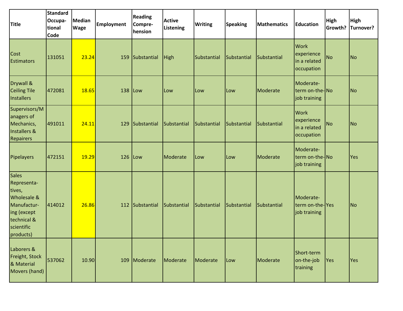| <b>Title</b>                                                                                                          | <b>Standard</b><br>Occupa-<br>tional<br>Code | <b>Median</b><br><b>Wage</b> | <b>Employment</b> | <b>Reading</b><br>Compre-<br>hension | <b>Active</b><br>Listening | <b>Writing</b> | <b>Speaking</b> | <b>Mathematics</b> | <b>Education</b>                                        | High<br>Growth? | <b>High</b><br>Turnover? |
|-----------------------------------------------------------------------------------------------------------------------|----------------------------------------------|------------------------------|-------------------|--------------------------------------|----------------------------|----------------|-----------------|--------------------|---------------------------------------------------------|-----------------|--------------------------|
| Cost<br><b>Estimators</b>                                                                                             | 131051                                       | 23.24                        | 159               | Substantial                          | <b>High</b>                | Substantial    | Substantial     | Substantial        | <b>Work</b><br>experience<br>in a related<br>occupation | <b>No</b>       | No                       |
| Drywall &<br><b>Ceiling Tile</b><br>Installers                                                                        | 472081                                       | 18.65                        | 138               | <b>Low</b>                           | Low                        | Low            | Low             | Moderate           | Moderate-<br>term on-the-No<br>job training             |                 | No                       |
| Supervisors/M<br>anagers of<br>Mechanics,<br>Installers &<br>Repairers                                                | 491011                                       | 24.11                        | 129               | Substantial                          | Substantial                | Substantial    | Substantial     | Substantial        | <b>Work</b><br>experience<br>in a related<br>occupation | <b>No</b>       | N <sub>o</sub>           |
| Pipelayers                                                                                                            | 472151                                       | 19.29                        | 126               | Low                                  | Moderate                   | Low            | Low             | Moderate           | Moderate-<br>term on-the-No<br>job training             |                 | Yes                      |
| Sales<br>Representa-<br>tives,<br>Wholesale &<br>Manufactur-<br>ing (except<br>technical &<br>scientific<br>products) | 414012                                       | 26.86                        | 112               | Substantial                          | Substantial                | Substantial    | Substantial     | Substantial        | Moderate-<br>term on-the-Yes<br>job training            |                 | No                       |
| Laborers &<br>Freight, Stock<br>& Material<br>Movers (hand)                                                           | 537062                                       | 10.90                        |                   | 109 Moderate                         | Moderate                   | Moderate       | Low             | Moderate           | Short-term<br>on-the-job<br>training                    | Yes             | Yes                      |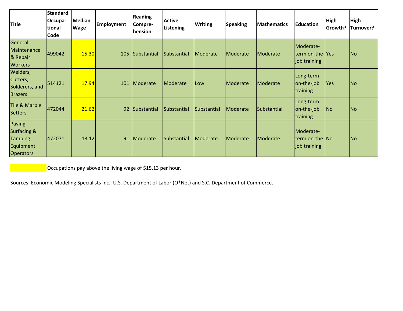| <b>Title</b>                                                                         | <b>Standard</b><br>Occupa-<br>tional<br>Code | <b>Median</b><br><b>Wage</b> | <b>Employment</b> | <b>Reading</b><br>Compre-<br>hension | <b>Active</b><br>Listening | <b>Writing</b> | <b>Speaking</b> | <b>Mathematics</b> | <b>IEducation</b>                            | <b>High</b><br>Growth? | High<br>Turnover?        |
|--------------------------------------------------------------------------------------|----------------------------------------------|------------------------------|-------------------|--------------------------------------|----------------------------|----------------|-----------------|--------------------|----------------------------------------------|------------------------|--------------------------|
| General<br>Maintenance<br>& Repair<br><b>Workers</b>                                 | 499042                                       | 15.30                        | 105               | Substantial                          | Substantial                | Moderate       | Moderate        | Moderate           | Moderate-<br>term on-the-Yes<br>job training |                        | $\overline{\mathsf{No}}$ |
| Welders,<br>Cutters,<br>Solderers, and<br><b>Brazers</b>                             | 514121                                       | 17.94                        | 101               | Moderate                             | Moderate                   | <b>Low</b>     | Moderate        | Moderate           | Long-term<br>on-the-job<br>training          | <b>Yes</b>             | No                       |
| <b>Tile &amp; Marble</b><br><b>Setters</b>                                           | 472044                                       | 21.62                        | 92                | Substantial                          | Substantial                | Substantial    | Moderate        | Substantial        | Long-term<br>on-the-job<br>training          | No                     | $\overline{\mathsf{No}}$ |
| Paving,<br><b>Surfacing &amp;</b><br><b>Tamping</b><br>Equipment<br><b>Operators</b> | 472071                                       | 13.12                        | 91                | Moderate                             | Substantial                | Moderate       | Moderate        | Moderate           | Moderate-<br>term on-the-No<br>job training  |                        | No                       |

Occupations pay above the living wage of \$15.13 per hour.

Sources: Economic Modeling Specialists Inc., U.S. Department of Labor (O\*Net) and S.C. Department of Commerce.